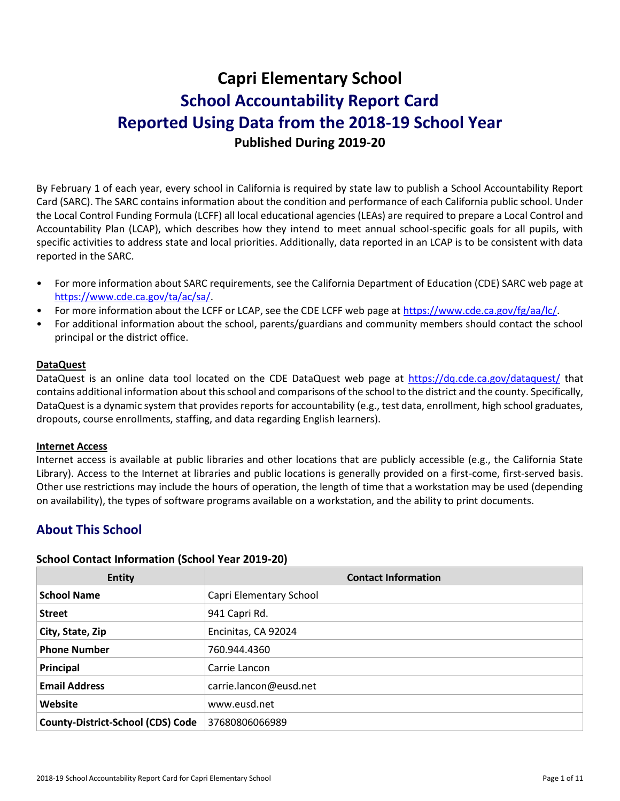# **Capri Elementary School School Accountability Report Card Reported Using Data from the 2018-19 School Year Published During 2019-20**

By February 1 of each year, every school in California is required by state law to publish a School Accountability Report Card (SARC). The SARC contains information about the condition and performance of each California public school. Under the Local Control Funding Formula (LCFF) all local educational agencies (LEAs) are required to prepare a Local Control and Accountability Plan (LCAP), which describes how they intend to meet annual school-specific goals for all pupils, with specific activities to address state and local priorities. Additionally, data reported in an LCAP is to be consistent with data reported in the SARC.

- For more information about SARC requirements, see the California Department of Education (CDE) SARC web page at [https://www.cde.ca.gov/ta/ac/sa/.](https://www.cde.ca.gov/ta/ac/sa/)
- For more information about the LCFF or LCAP, see the CDE LCFF web page at [https://www.cde.ca.gov/fg/aa/lc/.](https://www.cde.ca.gov/fg/aa/lc/)
- For additional information about the school, parents/guardians and community members should contact the school principal or the district office.

### **DataQuest**

DataQuest is an online data tool located on the CDE DataQuest web page at<https://dq.cde.ca.gov/dataquest/> that contains additional information about this school and comparisons of the school to the district and the county. Specifically, DataQuest is a dynamic system that provides reports for accountability (e.g., test data, enrollment, high school graduates, dropouts, course enrollments, staffing, and data regarding English learners).

### **Internet Access**

Internet access is available at public libraries and other locations that are publicly accessible (e.g., the California State Library). Access to the Internet at libraries and public locations is generally provided on a first-come, first-served basis. Other use restrictions may include the hours of operation, the length of time that a workstation may be used (depending on availability), the types of software programs available on a workstation, and the ability to print documents.

# **About This School**

### **School Contact Information (School Year 2019-20)**

| <b>Entity</b>                            | <b>Contact Information</b> |
|------------------------------------------|----------------------------|
| <b>School Name</b>                       | Capri Elementary School    |
| <b>Street</b>                            | 941 Capri Rd.              |
| City, State, Zip                         | Encinitas, CA 92024        |
| <b>Phone Number</b>                      | 760.944.4360               |
| Principal                                | Carrie Lancon              |
| <b>Email Address</b>                     | carrie.lancon@eusd.net     |
| Website                                  | www.eusd.net               |
| <b>County-District-School (CDS) Code</b> | 37680806066989             |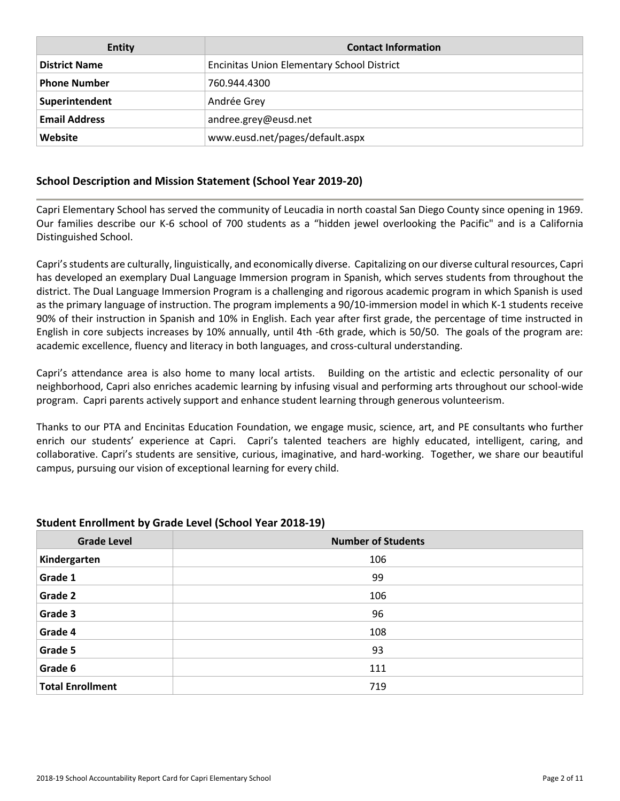| <b>Entity</b>        | <b>Contact Information</b>                        |
|----------------------|---------------------------------------------------|
| <b>District Name</b> | <b>Encinitas Union Elementary School District</b> |
| <b>Phone Number</b>  | 760.944.4300                                      |
| Superintendent       | Andrée Grey                                       |
| <b>Email Address</b> | andree.grey@eusd.net                              |
| Website              | www.eusd.net/pages/default.aspx                   |

### **School Description and Mission Statement (School Year 2019-20)**

Capri Elementary School has served the community of Leucadia in north coastal San Diego County since opening in 1969. Our families describe our K-6 school of 700 students as a "hidden jewel overlooking the Pacific" and is a California Distinguished School.

Capri's students are culturally, linguistically, and economically diverse. Capitalizing on our diverse cultural resources, Capri has developed an exemplary Dual Language Immersion program in Spanish, which serves students from throughout the district. The Dual Language Immersion Program is a challenging and rigorous academic program in which Spanish is used as the primary language of instruction. The program implements a 90/10-immersion model in which K-1 students receive 90% of their instruction in Spanish and 10% in English. Each year after first grade, the percentage of time instructed in English in core subjects increases by 10% annually, until 4th -6th grade, which is 50/50. The goals of the program are: academic excellence, fluency and literacy in both languages, and cross-cultural understanding.

Capri's attendance area is also home to many local artists. Building on the artistic and eclectic personality of our neighborhood, Capri also enriches academic learning by infusing visual and performing arts throughout our school-wide program. Capri parents actively support and enhance student learning through generous volunteerism.

Thanks to our PTA and Encinitas Education Foundation, we engage music, science, art, and PE consultants who further enrich our students' experience at Capri. Capri's talented teachers are highly educated, intelligent, caring, and collaborative. Capri's students are sensitive, curious, imaginative, and hard-working. Together, we share our beautiful campus, pursuing our vision of exceptional learning for every child.

| <b>Grade Level</b>      | <b>Number of Students</b> |
|-------------------------|---------------------------|
| Kindergarten            | 106                       |
| Grade 1                 | 99                        |
| Grade 2                 | 106                       |
| Grade 3                 | 96                        |
| Grade 4                 | 108                       |
| Grade 5                 | 93                        |
| Grade 6                 | 111                       |
| <b>Total Enrollment</b> | 719                       |

### **Student Enrollment by Grade Level (School Year 2018-19)**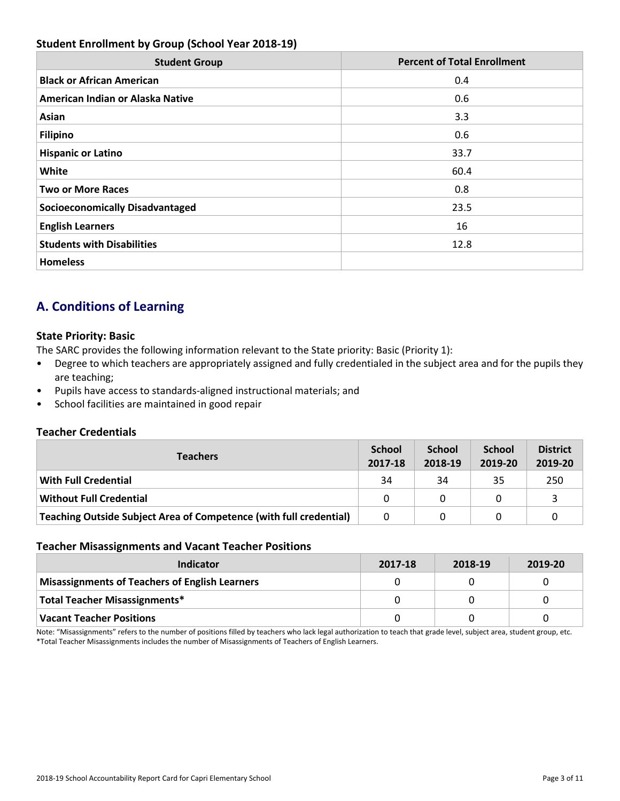### **Student Enrollment by Group (School Year 2018-19)**

| <b>Student Group</b>                   | <b>Percent of Total Enrollment</b> |
|----------------------------------------|------------------------------------|
| <b>Black or African American</b>       | 0.4                                |
| American Indian or Alaska Native       | 0.6                                |
| Asian                                  | 3.3                                |
| <b>Filipino</b>                        | 0.6                                |
| <b>Hispanic or Latino</b>              | 33.7                               |
| White                                  | 60.4                               |
| <b>Two or More Races</b>               | 0.8                                |
| <b>Socioeconomically Disadvantaged</b> | 23.5                               |
| <b>English Learners</b>                | 16                                 |
| <b>Students with Disabilities</b>      | 12.8                               |
| <b>Homeless</b>                        |                                    |

# **A. Conditions of Learning**

### **State Priority: Basic**

The SARC provides the following information relevant to the State priority: Basic (Priority 1):

- Degree to which teachers are appropriately assigned and fully credentialed in the subject area and for the pupils they are teaching;
- Pupils have access to standards-aligned instructional materials; and
- School facilities are maintained in good repair

### **Teacher Credentials**

| <b>Teachers</b>                                                    | <b>School</b><br>2017-18 | <b>School</b><br>2018-19 | <b>School</b><br>2019-20 | <b>District</b><br>2019-20 |
|--------------------------------------------------------------------|--------------------------|--------------------------|--------------------------|----------------------------|
| With Full Credential                                               | 34                       | 34                       | 35                       | 250                        |
| <b>Without Full Credential</b>                                     | <sup>n</sup>             | $\Omega$                 |                          |                            |
| Teaching Outside Subject Area of Competence (with full credential) | 0                        | 0                        |                          |                            |

### **Teacher Misassignments and Vacant Teacher Positions**

| Indicator                                             | 2017-18 | 2018-19 | 2019-20 |
|-------------------------------------------------------|---------|---------|---------|
| <b>Misassignments of Teachers of English Learners</b> |         |         |         |
| <b>Total Teacher Misassignments*</b>                  |         |         |         |
| <b>Vacant Teacher Positions</b>                       |         |         |         |

Note: "Misassignments" refers to the number of positions filled by teachers who lack legal authorization to teach that grade level, subject area, student group, etc. \*Total Teacher Misassignments includes the number of Misassignments of Teachers of English Learners.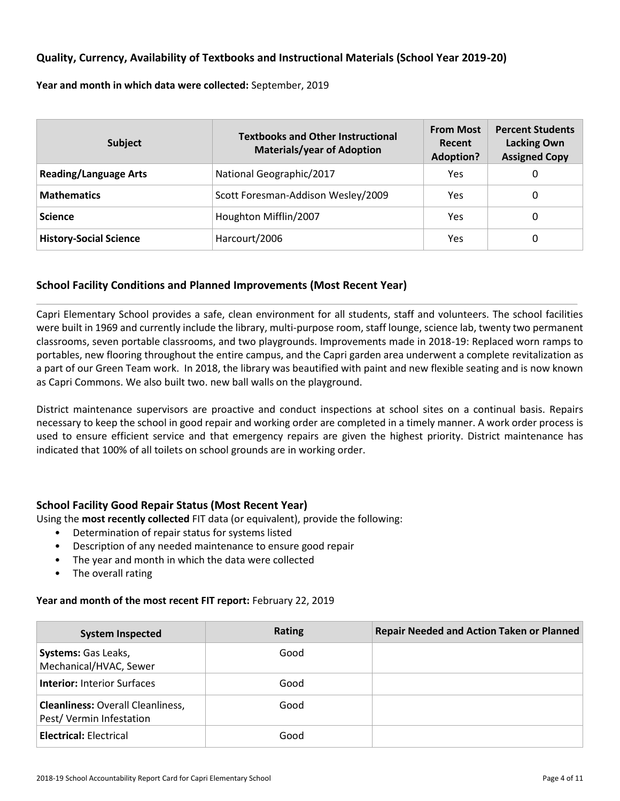### **Quality, Currency, Availability of Textbooks and Instructional Materials (School Year 2019-20)**

**Year and month in which data were collected:** September, 2019

| <b>Subject</b>                | <b>Textbooks and Other Instructional</b><br><b>Materials/year of Adoption</b> | <b>From Most</b><br>Recent<br><b>Adoption?</b> | <b>Percent Students</b><br><b>Lacking Own</b><br><b>Assigned Copy</b> |
|-------------------------------|-------------------------------------------------------------------------------|------------------------------------------------|-----------------------------------------------------------------------|
| <b>Reading/Language Arts</b>  | National Geographic/2017                                                      | Yes                                            | 0                                                                     |
| <b>Mathematics</b>            | Scott Foresman-Addison Wesley/2009                                            | Yes                                            | 0                                                                     |
| <b>Science</b>                | Houghton Mifflin/2007                                                         | Yes                                            | 0                                                                     |
| <b>History-Social Science</b> | Harcourt/2006                                                                 | Yes                                            | 0                                                                     |

### **School Facility Conditions and Planned Improvements (Most Recent Year)**

Capri Elementary School provides a safe, clean environment for all students, staff and volunteers. The school facilities were built in 1969 and currently include the library, multi-purpose room, staff lounge, science lab, twenty two permanent classrooms, seven portable classrooms, and two playgrounds. Improvements made in 2018-19: Replaced worn ramps to portables, new flooring throughout the entire campus, and the Capri garden area underwent a complete revitalization as a part of our Green Team work. In 2018, the library was beautified with paint and new flexible seating and is now known as Capri Commons. We also built two. new ball walls on the playground.

District maintenance supervisors are proactive and conduct inspections at school sites on a continual basis. Repairs necessary to keep the school in good repair and working order are completed in a timely manner. A work order process is used to ensure efficient service and that emergency repairs are given the highest priority. District maintenance has indicated that 100% of all toilets on school grounds are in working order.

### **School Facility Good Repair Status (Most Recent Year)**

Using the **most recently collected** FIT data (or equivalent), provide the following:

- Determination of repair status for systems listed
- Description of any needed maintenance to ensure good repair
- The year and month in which the data were collected
- The overall rating

### **Year and month of the most recent FIT report:** February 22, 2019

| <b>System Inspected</b>                                             | <b>Rating</b> | <b>Repair Needed and Action Taken or Planned</b> |
|---------------------------------------------------------------------|---------------|--------------------------------------------------|
| <b>Systems: Gas Leaks,</b><br>Mechanical/HVAC, Sewer                | Good          |                                                  |
| <b>Interior: Interior Surfaces</b>                                  | Good          |                                                  |
| <b>Cleanliness: Overall Cleanliness,</b><br>Pest/Vermin Infestation | Good          |                                                  |
| <b>Electrical: Electrical</b>                                       | Good          |                                                  |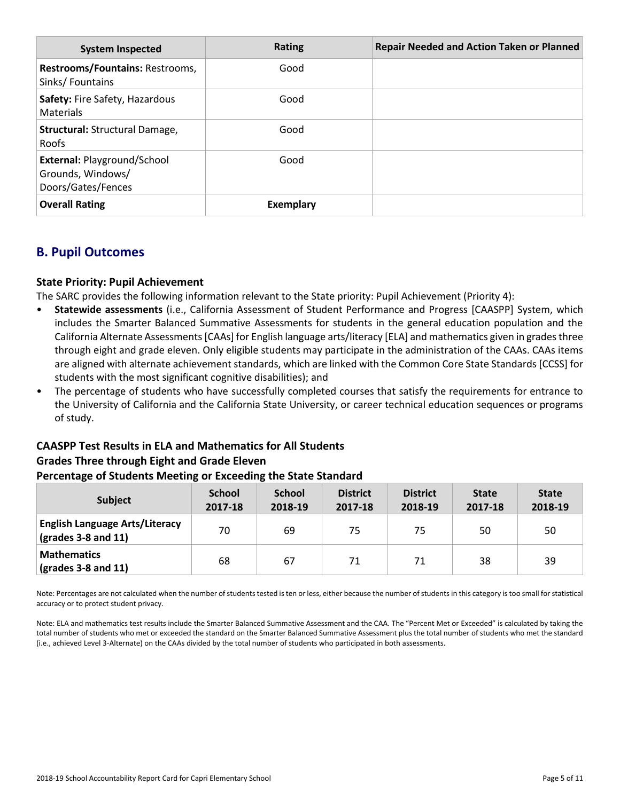| <b>System Inspected</b>                                                       | Rating    | <b>Repair Needed and Action Taken or Planned</b> |
|-------------------------------------------------------------------------------|-----------|--------------------------------------------------|
| Restrooms/Fountains: Restrooms,<br>Sinks/Fountains                            | Good      |                                                  |
| Safety: Fire Safety, Hazardous<br>Materials                                   | Good      |                                                  |
| Structural: Structural Damage,<br><b>Roofs</b>                                | Good      |                                                  |
| <b>External: Playground/School</b><br>Grounds, Windows/<br>Doors/Gates/Fences | Good      |                                                  |
| <b>Overall Rating</b>                                                         | Exemplary |                                                  |

# **B. Pupil Outcomes**

### **State Priority: Pupil Achievement**

The SARC provides the following information relevant to the State priority: Pupil Achievement (Priority 4):

- **Statewide assessments** (i.e., California Assessment of Student Performance and Progress [CAASPP] System, which includes the Smarter Balanced Summative Assessments for students in the general education population and the California Alternate Assessments [CAAs] for English language arts/literacy [ELA] and mathematics given in grades three through eight and grade eleven. Only eligible students may participate in the administration of the CAAs. CAAs items are aligned with alternate achievement standards, which are linked with the Common Core State Standards [CCSS] for students with the most significant cognitive disabilities); and
- The percentage of students who have successfully completed courses that satisfy the requirements for entrance to the University of California and the California State University, or career technical education sequences or programs of study.

# **CAASPP Test Results in ELA and Mathematics for All Students Grades Three through Eight and Grade Eleven**

### **Percentage of Students Meeting or Exceeding the State Standard**

| <b>Subject</b>                                                        | <b>School</b><br>2017-18 | <b>School</b><br>2018-19 | <b>District</b><br>2017-18 | <b>District</b><br>2018-19 | <b>State</b><br>2017-18 | <b>State</b><br>2018-19 |
|-----------------------------------------------------------------------|--------------------------|--------------------------|----------------------------|----------------------------|-------------------------|-------------------------|
| <b>English Language Arts/Literacy</b><br>$\sqrt{(grades 3-8 and 11)}$ | 70                       | 69                       | 75                         | 75                         | 50                      | 50                      |
| <b>Mathematics</b><br>$\vert$ (grades 3-8 and 11)                     | 68                       | 67                       | 71                         | 71                         | 38                      | 39                      |

Note: Percentages are not calculated when the number of students tested is ten or less, either because the number of students in this category is too small for statistical accuracy or to protect student privacy.

Note: ELA and mathematics test results include the Smarter Balanced Summative Assessment and the CAA. The "Percent Met or Exceeded" is calculated by taking the total number of students who met or exceeded the standard on the Smarter Balanced Summative Assessment plus the total number of students who met the standard (i.e., achieved Level 3-Alternate) on the CAAs divided by the total number of students who participated in both assessments.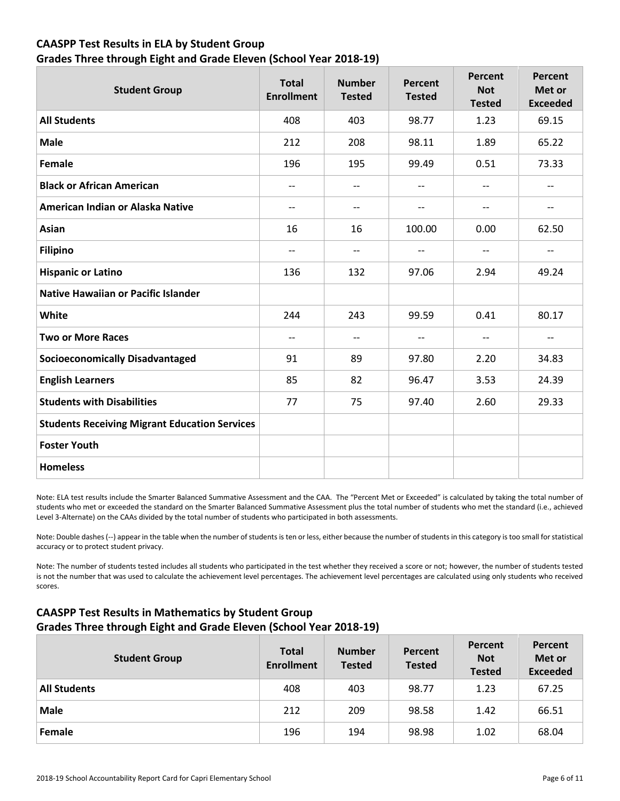### **CAASPP Test Results in ELA by Student Group Grades Three through Eight and Grade Eleven (School Year 2018-19)**

| <b>Student Group</b>                                 | <b>Total</b><br><b>Enrollment</b> | <b>Number</b><br><b>Tested</b> | Percent<br><b>Tested</b> | Percent<br><b>Not</b><br><b>Tested</b> | Percent<br>Met or<br><b>Exceeded</b> |
|------------------------------------------------------|-----------------------------------|--------------------------------|--------------------------|----------------------------------------|--------------------------------------|
| <b>All Students</b>                                  | 408                               | 403                            | 98.77                    | 1.23                                   | 69.15                                |
| <b>Male</b>                                          | 212                               | 208                            | 98.11                    | 1.89                                   | 65.22                                |
| <b>Female</b>                                        | 196                               | 195                            | 99.49                    | 0.51                                   | 73.33                                |
| <b>Black or African American</b>                     | $-$                               | $-$                            | $\qquad \qquad -$        | $\overline{\phantom{a}}$               | --                                   |
| American Indian or Alaska Native                     | $-\, -$                           | $-$                            | $\overline{\phantom{m}}$ | $\overline{\phantom{m}}$               | $\hspace{0.05cm}$ $\hspace{0.05cm}$  |
| Asian                                                | 16                                | 16                             | 100.00                   | 0.00                                   | 62.50                                |
| <b>Filipino</b>                                      | $\overline{\phantom{a}}$          | $-$                            | $\qquad \qquad -$        | $\overline{\phantom{a}}$               | $\overline{\phantom{a}}$             |
| <b>Hispanic or Latino</b>                            | 136                               | 132                            | 97.06                    | 2.94                                   | 49.24                                |
| Native Hawaiian or Pacific Islander                  |                                   |                                |                          |                                        |                                      |
| White                                                | 244                               | 243                            | 99.59                    | 0.41                                   | 80.17                                |
| <b>Two or More Races</b>                             | $\qquad \qquad -$                 | $-$                            | --                       | $\overline{\phantom{a}}$               | $\overline{\phantom{a}}$             |
| <b>Socioeconomically Disadvantaged</b>               | 91                                | 89                             | 97.80                    | 2.20                                   | 34.83                                |
| <b>English Learners</b>                              | 85                                | 82                             | 96.47                    | 3.53                                   | 24.39                                |
| <b>Students with Disabilities</b>                    | 77                                | 75                             | 97.40                    | 2.60                                   | 29.33                                |
| <b>Students Receiving Migrant Education Services</b> |                                   |                                |                          |                                        |                                      |
| <b>Foster Youth</b>                                  |                                   |                                |                          |                                        |                                      |
| <b>Homeless</b>                                      |                                   |                                |                          |                                        |                                      |

Note: ELA test results include the Smarter Balanced Summative Assessment and the CAA. The "Percent Met or Exceeded" is calculated by taking the total number of students who met or exceeded the standard on the Smarter Balanced Summative Assessment plus the total number of students who met the standard (i.e., achieved Level 3-Alternate) on the CAAs divided by the total number of students who participated in both assessments.

Note: Double dashes (--) appear in the table when the number of students is ten or less, either because the number of students in this category is too small for statistical accuracy or to protect student privacy.

Note: The number of students tested includes all students who participated in the test whether they received a score or not; however, the number of students tested is not the number that was used to calculate the achievement level percentages. The achievement level percentages are calculated using only students who received scores.

### **CAASPP Test Results in Mathematics by Student Group Grades Three through Eight and Grade Eleven (School Year 2018-19)**

| <b>Student Group</b> | <b>Total</b><br><b>Enrollment</b> | <b>Number</b><br><b>Tested</b> | Percent<br><b>Tested</b> | Percent<br><b>Not</b><br><b>Tested</b> | Percent<br>Met or<br><b>Exceeded</b> |
|----------------------|-----------------------------------|--------------------------------|--------------------------|----------------------------------------|--------------------------------------|
| <b>All Students</b>  | 408                               | 403                            | 98.77                    | 1.23                                   | 67.25                                |
| <b>Male</b>          | 212                               | 209                            | 98.58                    | 1.42                                   | 66.51                                |
| Female               | 196                               | 194                            | 98.98                    | 1.02                                   | 68.04                                |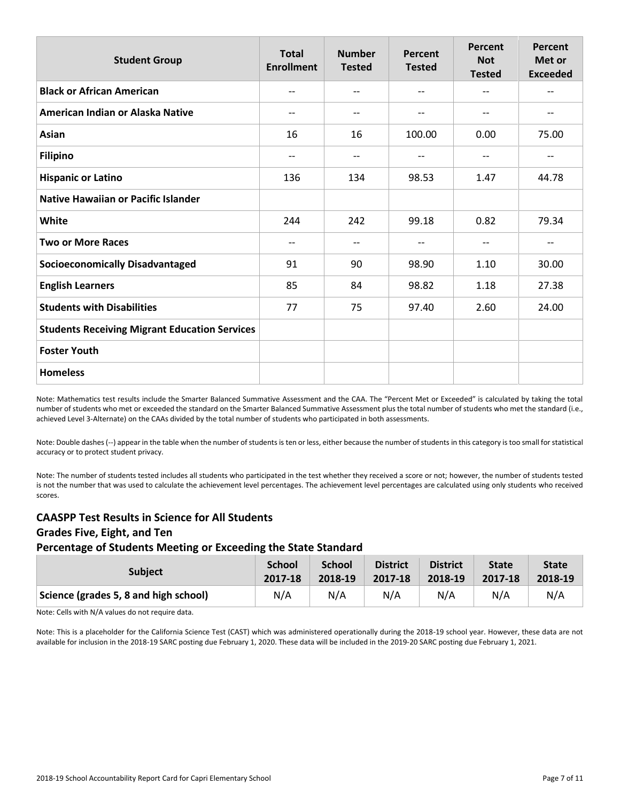| <b>Student Group</b>                                 | <b>Total</b><br><b>Enrollment</b> | <b>Number</b><br><b>Tested</b> | Percent<br><b>Tested</b> | Percent<br><b>Not</b><br><b>Tested</b> | Percent<br>Met or<br><b>Exceeded</b> |
|------------------------------------------------------|-----------------------------------|--------------------------------|--------------------------|----------------------------------------|--------------------------------------|
| <b>Black or African American</b>                     | $-$                               | $-$                            | $- -$                    | $-$                                    | $-$                                  |
| American Indian or Alaska Native                     | $-$                               | --                             | $\qquad \qquad -$        | $\qquad \qquad -$                      | --                                   |
| Asian                                                | 16                                | 16                             | 100.00                   | 0.00                                   | 75.00                                |
| <b>Filipino</b>                                      | $-$                               | --                             | $\qquad \qquad -$        | $-$                                    | $-$                                  |
| <b>Hispanic or Latino</b>                            | 136                               | 134                            | 98.53                    | 1.47                                   | 44.78                                |
| <b>Native Hawaiian or Pacific Islander</b>           |                                   |                                |                          |                                        |                                      |
| White                                                | 244                               | 242                            | 99.18                    | 0.82                                   | 79.34                                |
| <b>Two or More Races</b>                             | $-$                               | --                             | $-\,-$                   | $-$                                    | --                                   |
| <b>Socioeconomically Disadvantaged</b>               | 91                                | 90                             | 98.90                    | 1.10                                   | 30.00                                |
| <b>English Learners</b>                              | 85                                | 84                             | 98.82                    | 1.18                                   | 27.38                                |
| <b>Students with Disabilities</b>                    | 77                                | 75                             | 97.40                    | 2.60                                   | 24.00                                |
| <b>Students Receiving Migrant Education Services</b> |                                   |                                |                          |                                        |                                      |
| <b>Foster Youth</b>                                  |                                   |                                |                          |                                        |                                      |
| <b>Homeless</b>                                      |                                   |                                |                          |                                        |                                      |

Note: Mathematics test results include the Smarter Balanced Summative Assessment and the CAA. The "Percent Met or Exceeded" is calculated by taking the total number of students who met or exceeded the standard on the Smarter Balanced Summative Assessment plus the total number of students who met the standard (i.e., achieved Level 3-Alternate) on the CAAs divided by the total number of students who participated in both assessments.

Note: Double dashes (--) appear in the table when the number of students is ten or less, either because the number of students in this category is too small for statistical accuracy or to protect student privacy.

Note: The number of students tested includes all students who participated in the test whether they received a score or not; however, the number of students tested is not the number that was used to calculate the achievement level percentages. The achievement level percentages are calculated using only students who received scores.

### **CAASPP Test Results in Science for All Students Grades Five, Eight, and Ten Percentage of Students Meeting or Exceeding the State Standard**

| <b>Subject</b>                        | <b>School</b> | <b>School</b> | <b>District</b> | <b>District</b> | <b>State</b> | <b>State</b> |
|---------------------------------------|---------------|---------------|-----------------|-----------------|--------------|--------------|
|                                       | 2017-18       | 2018-19       | 2017-18         | 2018-19         | 2017-18      | 2018-19      |
| Science (grades 5, 8 and high school) | N/A           | N/A           | N/A             | N/A             | N/A          | N/A          |

Note: Cells with N/A values do not require data.

Note: This is a placeholder for the California Science Test (CAST) which was administered operationally during the 2018-19 school year. However, these data are not available for inclusion in the 2018-19 SARC posting due February 1, 2020. These data will be included in the 2019-20 SARC posting due February 1, 2021.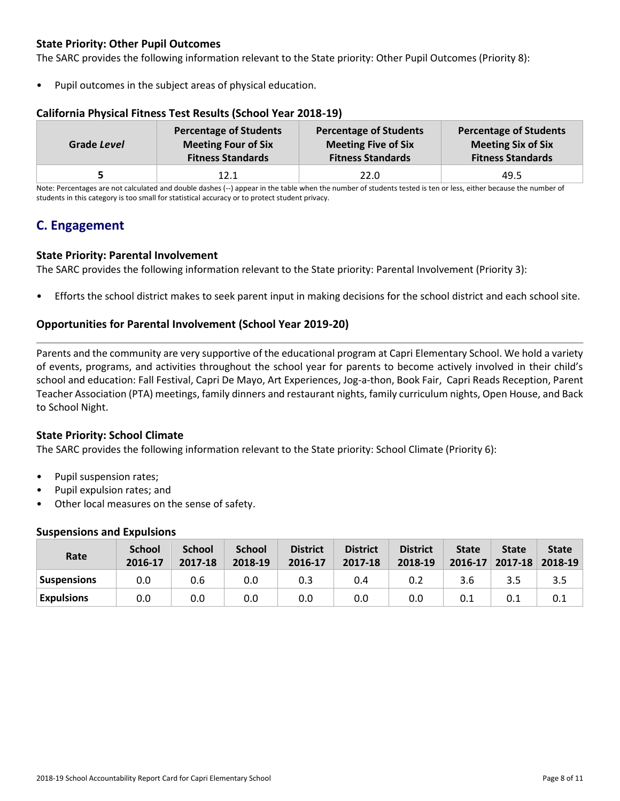### **State Priority: Other Pupil Outcomes**

The SARC provides the following information relevant to the State priority: Other Pupil Outcomes (Priority 8):

Pupil outcomes in the subject areas of physical education.

### **California Physical Fitness Test Results (School Year 2018-19)**

| Grade Level | <b>Percentage of Students</b> | <b>Percentage of Students</b> | <b>Percentage of Students</b> |
|-------------|-------------------------------|-------------------------------|-------------------------------|
|             | <b>Meeting Four of Six</b>    | <b>Meeting Five of Six</b>    | <b>Meeting Six of Six</b>     |
|             | <b>Fitness Standards</b>      | <b>Fitness Standards</b>      | <b>Fitness Standards</b>      |
|             | 12.1                          | 22.0                          | 49.5                          |

Note: Percentages are not calculated and double dashes (--) appear in the table when the number of students tested is ten or less, either because the number of students in this category is too small for statistical accuracy or to protect student privacy.

# **C. Engagement**

### **State Priority: Parental Involvement**

The SARC provides the following information relevant to the State priority: Parental Involvement (Priority 3):

• Efforts the school district makes to seek parent input in making decisions for the school district and each school site.

### **Opportunities for Parental Involvement (School Year 2019-20)**

Parents and the community are very supportive of the educational program at Capri Elementary School. We hold a variety of events, programs, and activities throughout the school year for parents to become actively involved in their child's school and education: Fall Festival, Capri De Mayo, Art Experiences, Jog-a-thon, Book Fair, Capri Reads Reception, Parent Teacher Association (PTA) meetings, family dinners and restaurant nights, family curriculum nights, Open House, and Back to School Night.

### **State Priority: School Climate**

The SARC provides the following information relevant to the State priority: School Climate (Priority 6):

- Pupil suspension rates;
- Pupil expulsion rates; and
- Other local measures on the sense of safety.

#### **Suspensions and Expulsions**

| Rate               | <b>School</b><br>2016-17 | <b>School</b><br>2017-18 | <b>School</b><br>2018-19 | <b>District</b><br>2016-17 | <b>District</b><br>2017-18 | <b>District</b><br>2018-19 | <b>State</b><br>2016-17 | <b>State</b><br>2017-18 | <b>State</b><br>2018-19 |
|--------------------|--------------------------|--------------------------|--------------------------|----------------------------|----------------------------|----------------------------|-------------------------|-------------------------|-------------------------|
| <b>Suspensions</b> | 0.0                      | 0.6                      | 0.0                      | 0.3                        | 0.4                        | 0.2                        | 3.6                     | 3.5                     | 3.5                     |
| <b>Expulsions</b>  | 0.0                      | 0.0                      | 0.0                      | 0.0                        | 0.0                        | 0.0                        |                         | 0.1                     | 0.1                     |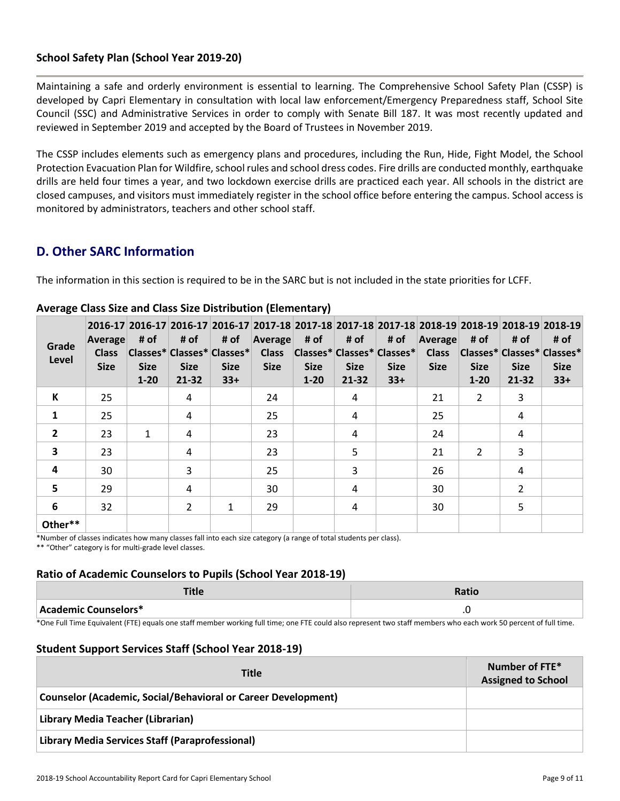### **School Safety Plan (School Year 2019-20)**

Maintaining a safe and orderly environment is essential to learning. The Comprehensive School Safety Plan (CSSP) is developed by Capri Elementary in consultation with local law enforcement/Emergency Preparedness staff, School Site Council (SSC) and Administrative Services in order to comply with Senate Bill 187. It was most recently updated and reviewed in September 2019 and accepted by the Board of Trustees in November 2019.

The CSSP includes elements such as emergency plans and procedures, including the Run, Hide, Fight Model, the School Protection Evacuation Plan for Wildfire, school rules and school dress codes. Fire drills are conducted monthly, earthquake drills are held four times a year, and two lockdown exercise drills are practiced each year. All schools in the district are closed campuses, and visitors must immediately register in the school office before entering the campus. School access is monitored by administrators, teachers and other school staff.

## **D. Other SARC Information**

The information in this section is required to be in the SARC but is not included in the state priorities for LCFF.

| Grade<br>Level          | Average<br><b>Class</b><br><b>Size</b> | # of<br><b>Size</b><br>$1 - 20$ | # of<br><b>Size</b><br>21-32 | # of<br>Classes* Classes* Classes*<br><b>Size</b><br>$33+$ | Average<br><b>Class</b><br><b>Size</b> | # of<br><b>Size</b><br>$1 - 20$ | # of<br> Classes* Classes* Classes* <br><b>Size</b><br>$21 - 32$ | # of<br><b>Size</b><br>$33+$ | Average<br><b>Class</b><br><b>Size</b> | # of<br> Classes* Classes* Classes*<br><b>Size</b><br>$1 - 20$ | # of<br><b>Size</b><br>$21 - 32$ | 2016-17 2016-17 2016-17 2016-17 2017-18 2017-18 2017-18 2017-18 2017-18 2018-19 2018-19 2018-19 2018-19<br># of<br><b>Size</b><br>$33+$ |
|-------------------------|----------------------------------------|---------------------------------|------------------------------|------------------------------------------------------------|----------------------------------------|---------------------------------|------------------------------------------------------------------|------------------------------|----------------------------------------|----------------------------------------------------------------|----------------------------------|-----------------------------------------------------------------------------------------------------------------------------------------|
| К                       | 25                                     |                                 | 4                            |                                                            | 24                                     |                                 | 4                                                                |                              | 21                                     | 2                                                              | 3                                |                                                                                                                                         |
| $\mathbf{1}$            | 25                                     |                                 | 4                            |                                                            | 25                                     |                                 | 4                                                                |                              | 25                                     |                                                                | 4                                |                                                                                                                                         |
| $\overline{2}$          | 23                                     | $\mathbf{1}$                    | 4                            |                                                            | 23                                     |                                 | 4                                                                |                              | 24                                     |                                                                | 4                                |                                                                                                                                         |
| $\overline{\mathbf{3}}$ | 23                                     |                                 | 4                            |                                                            | 23                                     |                                 | 5                                                                |                              | 21                                     | $\overline{2}$                                                 | 3                                |                                                                                                                                         |
| $\overline{\mathbf{4}}$ | 30                                     |                                 | 3                            |                                                            | 25                                     |                                 | 3                                                                |                              | 26                                     |                                                                | 4                                |                                                                                                                                         |
| 5                       | 29                                     |                                 | 4                            |                                                            | 30                                     |                                 | 4                                                                |                              | 30                                     |                                                                | $\overline{2}$                   |                                                                                                                                         |
| 6                       | 32                                     |                                 | $\overline{2}$               | $\mathbf{1}$                                               | 29                                     |                                 | 4                                                                |                              | 30                                     |                                                                | 5                                |                                                                                                                                         |
| Other**                 |                                        |                                 |                              |                                                            |                                        |                                 |                                                                  |                              |                                        |                                                                |                                  |                                                                                                                                         |

### **Average Class Size and Class Size Distribution (Elementary)**

\*Number of classes indicates how many classes fall into each size category (a range of total students per class).

\*\* "Other" category is for multi-grade level classes.

### **Ratio of Academic Counselors to Pupils (School Year 2018-19)**

| TH.<br>ापट           | Ratic   |
|----------------------|---------|
| Academic Counselors* | $\cdot$ |

\*One Full Time Equivalent (FTE) equals one staff member working full time; one FTE could also represent two staff members who each work 50 percent of full time.

### **Student Support Services Staff (School Year 2018-19)**

| <b>Title</b>                                                         | Number of FTE*<br><b>Assigned to School</b> |
|----------------------------------------------------------------------|---------------------------------------------|
| <b>Counselor (Academic, Social/Behavioral or Career Development)</b> |                                             |
| Library Media Teacher (Librarian)                                    |                                             |
| Library Media Services Staff (Paraprofessional)                      |                                             |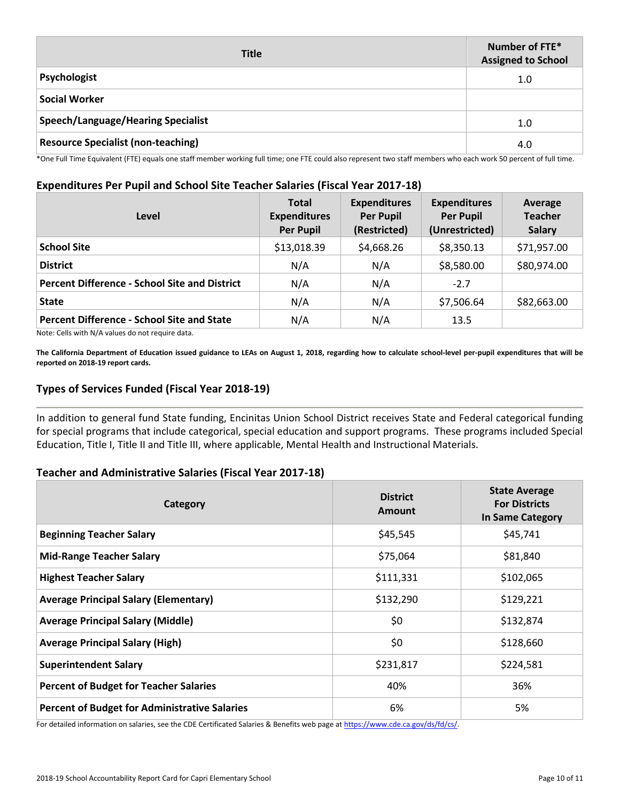| <b>Title</b>                              | Number of FTE*<br><b>Assigned to School</b> |
|-------------------------------------------|---------------------------------------------|
| Psychologist                              | 1.0                                         |
| <b>Social Worker</b>                      |                                             |
| <b>Speech/Language/Hearing Specialist</b> | 1.0                                         |
| <b>Resource Specialist (non-teaching)</b> | 4.0                                         |

\*One Full Time Equivalent (FTE) equals one staff member working full time; one FTE could also represent two staff members who each work 50 percent of full time.

#### **Expenditures Per Pupil and School Site Teacher Salaries (Fiscal Year 2017-18)**

| Level                                                | <b>Total</b><br><b>Expenditures</b><br><b>Per Pupil</b> | <b>Expenditures</b><br><b>Per Pupil</b><br>(Restricted) | <b>Expenditures</b><br><b>Per Pupil</b><br>(Unrestricted) | Average<br><b>Teacher</b><br><b>Salary</b> |
|------------------------------------------------------|---------------------------------------------------------|---------------------------------------------------------|-----------------------------------------------------------|--------------------------------------------|
| <b>School Site</b>                                   | \$13,018.39                                             | \$4,668.26                                              | \$8,350.13                                                | \$71,957.00                                |
| <b>District</b>                                      | N/A                                                     | N/A                                                     | \$8,580.00                                                | \$80,974.00                                |
| <b>Percent Difference - School Site and District</b> | N/A                                                     | N/A                                                     | $-2.7$                                                    |                                            |
| <b>State</b>                                         | N/A                                                     | N/A                                                     | \$7,506.64                                                | \$82,663.00                                |
| <b>Percent Difference - School Site and State</b>    | N/A                                                     | N/A                                                     | 13.5                                                      |                                            |

Note: Cells with N/A values do not require data.

**The California Department of Education issued guidance to LEAs on August 1, 2018, regarding how to calculate school-level per-pupil expenditures that will be reported on 2018-19 report cards.**

### **Types of Services Funded (Fiscal Year 2018-19)**

In addition to general fund State funding, Encinitas Union School District receives State and Federal categorical funding for special programs that include categorical, special education and support programs. These programs included Special Education, Title I, Title II and Title III, where applicable, Mental Health and Instructional Materials.

### **Teacher and Administrative Salaries (Fiscal Year 2017-18)**

| Category                                             | <b>District</b><br>Amount | <b>State Average</b><br><b>For Districts</b><br><b>In Same Category</b> |
|------------------------------------------------------|---------------------------|-------------------------------------------------------------------------|
| <b>Beginning Teacher Salary</b>                      | \$45,545                  | \$45,741                                                                |
| <b>Mid-Range Teacher Salary</b>                      | \$75,064                  | \$81,840                                                                |
| <b>Highest Teacher Salary</b>                        | \$111,331                 | \$102,065                                                               |
| <b>Average Principal Salary (Elementary)</b>         | \$132,290                 | \$129,221                                                               |
| <b>Average Principal Salary (Middle)</b>             | \$0                       | \$132,874                                                               |
| <b>Average Principal Salary (High)</b>               | \$0                       | \$128,660                                                               |
| <b>Superintendent Salary</b>                         | \$231,817                 | \$224,581                                                               |
| <b>Percent of Budget for Teacher Salaries</b>        | 40%                       | 36%                                                                     |
| <b>Percent of Budget for Administrative Salaries</b> | 6%                        | 5%                                                                      |

For detailed information on salaries, see the CDE Certificated Salaries & Benefits web page at https://www.cde.ca.gov/ds/fd/cs/.